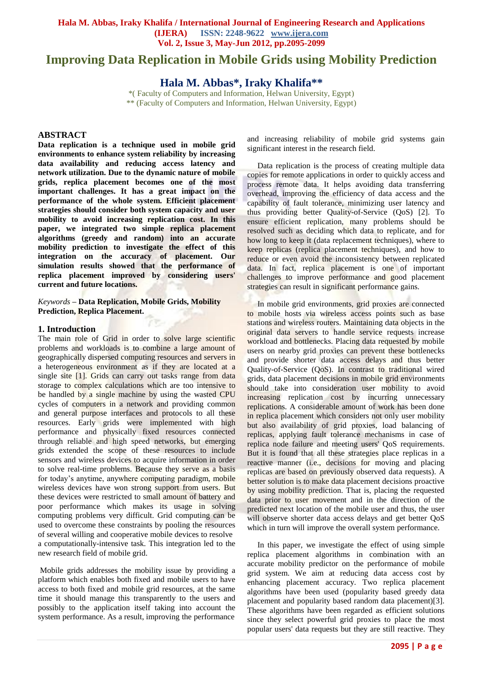# **Improving Data Replication in Mobile Grids using Mobility Prediction**

**Hala M. Abbas\*, Iraky Khalifa\*\***

\*( Faculty of Computers and Information, Helwan University, Egypt) \*\* (Faculty of Computers and Information, Helwan University, Egypt)

## **ABSTRACT**

**Data replication is a technique used in mobile grid environments to enhance system reliability by increasing data availability and reducing access latency and network utilization. Due to the dynamic nature of mobile grids, replica placement becomes one of the most important challenges. It has a great impact on the performance of the whole system. Efficient placement strategies should consider both system capacity and user mobility to avoid increasing replication cost. In this paper, we integrated two simple replica placement algorithms (greedy and random) into an accurate mobility prediction to investigate the effect of this integration on the accuracy of placement. Our simulation results showed that the performance of replica placement improved by considering users' current and future locations.**

*Keywords* **– Data Replication, Mobile Grids, Mobility Prediction, Replica Placement.**

# **1. Introduction**

The main role of Grid in order to solve large scientific problems and workloads is to combine a large amount of geographically dispersed computing resources and servers in a heterogeneous environment as if they are located at a single site [1]. Grids can carry out tasks range from data storage to complex calculations which are too intensive to be handled by a single machine by using the wasted CPU cycles of computers in a network and providing common and general purpose interfaces and protocols to all these resources. Early grids were implemented with high performance and physically fixed resources connected through reliable and high speed networks, but emerging grids extended the scope of these resources to include sensors and wireless devices to acquire information in order to solve real-time problems. Because they serve as a basis for today's anytime, anywhere computing paradigm, mobile wireless devices have won strong support from users. But these devices were restricted to small amount of battery and poor performance which makes its usage in solving computing problems very difficult. Grid computing can be used to overcome these constraints by pooling the resources of several willing and cooperative mobile devices to resolve a computationally-intensive task. This integration led to the new research field of mobile grid.

Mobile grids addresses the mobility issue by providing a platform which enables both fixed and mobile users to have access to both fixed and mobile grid resources, at the same time it should manage this transparently to the users and possibly to the application itself taking into account the system performance. As a result, improving the performance

and increasing reliability of mobile grid systems gain significant interest in the research field.

 Data replication is the process of creating multiple data copies for remote applications in order to quickly access and process remote data. It helps avoiding data transferring overhead, improving the efficiency of data access and the capability of fault tolerance, minimizing user latency and thus providing better Quality-of-Service (QoS) [2]. To ensure efficient replication, many problems should be resolved such as deciding which data to replicate, and for how long to keep it (data replacement techniques), where to keep replicas (replica placement techniques), and how to reduce or even avoid the inconsistency between replicated data. In fact, replica placement is one of important challenges to improve performance and good placement strategies can result in significant performance gains.

 In mobile grid environments, grid proxies are connected to mobile hosts via wireless access points such as base stations and wireless routers. Maintaining data objects in the original data servers to handle service requests increase workload and bottlenecks. Placing data requested by mobile users on nearby grid proxies can prevent these bottlenecks and provide shorter data access delays and thus better Quality-of-Service (QoS). In contrast to traditional wired grids, data placement decisions in mobile grid environments should take into consideration user mobility to avoid increasing replication cost by incurring unnecessary replications. A considerable amount of work has been done in replica placement which considers not only user mobility but also availability of grid proxies, load balancing of replicas, applying fault tolerance mechanisms in case of replica node failure and meeting users' QoS requirements. But it is found that all these strategies place replicas in a reactive manner (i.e., decisions for moving and placing replicas are based on previously observed data requests). A better solution is to make data placement decisions proactive by using mobility prediction. That is, placing the requested data prior to user movement and in the direction of the predicted next location of the mobile user and thus, the user will observe shorter data access delays and get better QoS which in turn will improve the overall system performance.

 In this paper, we investigate the effect of using simple replica placement algorithms in combination with an accurate mobility predictor on the performance of mobile grid system. We aim at reducing data access cost by enhancing placement accuracy. Two replica placement algorithms have been used (popularity based greedy data placement and popularity based random data placement)[3]. These algorithms have been regarded as efficient solutions since they select powerful grid proxies to place the most popular users' data requests but they are still reactive. They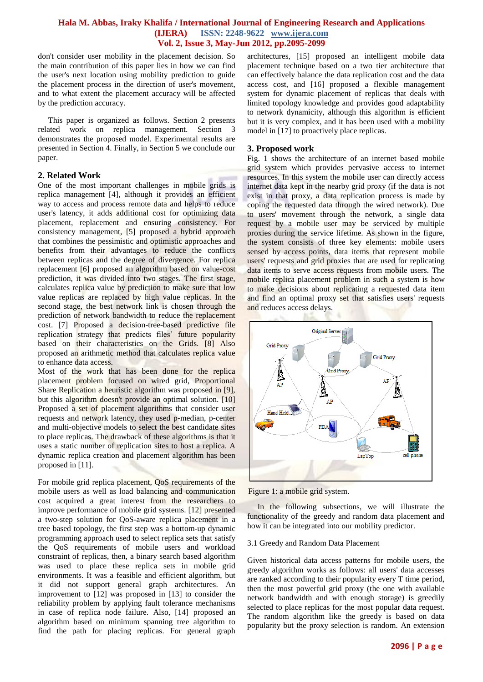don't consider user mobility in the placement decision. So the main contribution of this paper lies in how we can find the user's next location using mobility prediction to guide the placement process in the direction of user's movement, and to what extent the placement accuracy will be affected by the prediction accuracy.

 This paper is organized as follows. Section 2 presents related work on replica management. Section 3 demonstrates the proposed model. Experimental results are presented in Section 4. Finally, in Section 5 we conclude our paper.

## **2. Related Work**

One of the most important challenges in mobile grids is replica management [4], although it provides an efficient way to access and process remote data and helps to reduce user's latency, it adds additional cost for optimizing data placement, replacement and ensuring consistency. For consistency management, [5] proposed a hybrid approach that combines the pessimistic and optimistic approaches and benefits from their advantages to reduce the conflicts between replicas and the degree of divergence. For replica replacement [6] proposed an algorithm based on value-cost prediction, it was divided into two stages. The first stage, calculates replica value by prediction to make sure that low value replicas are replaced by high value replicas. In the second stage, the best network link is chosen through the prediction of network bandwidth to reduce the replacement cost. [7] Proposed a decision-tree-based predictive file replication strategy that predicts files' future popularity based on their characteristics on the Grids. [8] Also proposed an arithmetic method that calculates replica value to enhance data access.

Most of the work that has been done for the replica placement problem focused on wired grid, Proportional Share Replication a heuristic algorithm was proposed in [9], but this algorithm doesn't provide an optimal solution. [10] Proposed a set of placement algorithms that consider user requests and network latency, they used p-median, p-center and multi-objective models to select the best candidate sites to place replicas. The drawback of these algorithms is that it uses a static number of replication sites to host a replica. A dynamic replica creation and placement algorithm has been proposed in [11].

For mobile grid replica placement, QoS requirements of the mobile users as well as load balancing and communication cost acquired a great interest from the researchers to improve performance of mobile grid systems. [12] presented a two-step solution for QoS-aware replica placement in a tree based topology, the first step was a bottom-up dynamic programming approach used to select replica sets that satisfy the QoS requirements of mobile users and workload constraint of replicas, then, a binary search based algorithm was used to place these replica sets in mobile grid environments. It was a feasible and efficient algorithm, but it did not support general graph architectures. An improvement to [12] was proposed in [13] to consider the reliability problem by applying fault tolerance mechanisms in case of replica node failure. Also, [14] proposed an algorithm based on minimum spanning tree algorithm to find the path for placing replicas. For general graph architectures, [15] proposed an intelligent mobile data placement technique based on a two tier architecture that can effectively balance the data replication cost and the data access cost, and [16] proposed a flexible management system for dynamic placement of replicas that deals with limited topology knowledge and provides good adaptability to network dynamicity, although this algorithm is efficient but it is very complex, and it has been used with a mobility model in [17] to proactively place replicas.

## **3. Proposed work**

Fig. 1 shows the architecture of an internet based mobile grid system which provides pervasive access to internet resources. In this system the mobile user can directly access internet data kept in the nearby grid proxy (if the data is not exist in that proxy, a data replication process is made by coping the requested data through the wired network). Due to users' movement through the network, a single data request by a mobile user may be serviced by multiple proxies during the service lifetime. As shown in the figure, the system consists of three key elements: mobile users sensed by access points, data items that represent mobile users' requests and grid proxies that are used for replicating data items to serve access requests from mobile users. The mobile replica placement problem in such a system is how to make decisions about replicating a requested data item and find an optimal proxy set that satisfies users' requests and reduces access delays.





 In the following subsections, we will illustrate the functionality of the greedy and random data placement and how it can be integrated into our mobility predictor.

#### 3.1 Greedy and Random Data Placement

Given historical data access patterns for mobile users, the greedy algorithm works as follows: all users' data accesses are ranked according to their popularity every T time period, then the most powerful grid proxy (the one with available network bandwidth and with enough storage) is greedily selected to place replicas for the most popular data request. The random algorithm like the greedy is based on data popularity but the proxy selection is random. An extension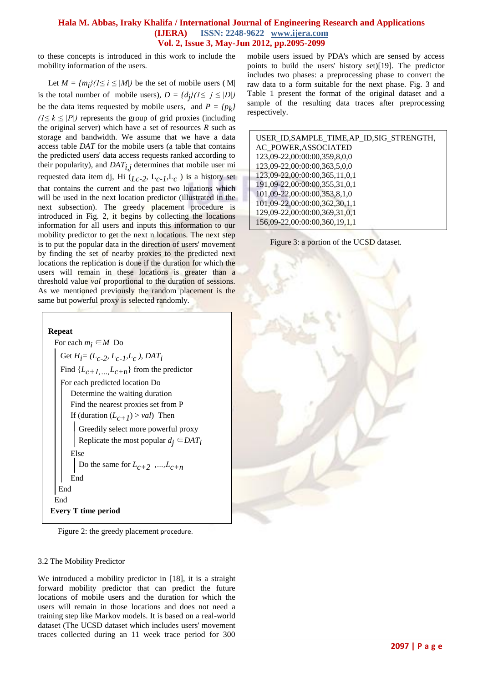to these concepts is introduced in this work to include the mobility information of the users.

Let  $M = \{m_i\}$  ( $1 \le i \le |M|$ ) be the set of mobile users (|M| is the total number of mobile users),  $D = \{dj\}$  ( $1 \le j \le |D|$ ) be the data items requested by mobile users, and  $P = \{p_k\}$  $(1 \leq k \leq |P|)$  represents the group of grid proxies (including the original server) which have a set of resources *R* such as storage and bandwidth. We assume that we have a data access table *DAT* for the mobile users (a table that contains the predicted users' data access requests ranked according to their popularity), and  $DATA_{i,j}$  determines that mobile user mi requested data item dj, Hi (*Lc-2* , L*c-1* ,L*c* ) is a history set that contains the current and the past two locations which will be used in the next location predictor (illustrated in the next subsection). The greedy placement procedure is introduced in Fig. 2, it begins by collecting the locations information for all users and inputs this information to our mobility predictor to get the next n locations. The next step is to put the popular data in the direction of users' movement by finding the set of nearby proxies to the predicted next locations the replication is done if the duration for which the users will remain in these locations is greater than a threshold value *val* proportional to the duration of sessions. As we mentioned previously the random placement is the same but powerful proxy is selected randomly.



For each  $m_i \in M$  Do Get  $H_i = (L_{c-2}, L_{c-1}, L_c)$ , *DAT<sub>i</sub>* Find  $\{L_{c+1},..., L_{c+n}\}\$  from the predictor For each predicted location Do Determine the waiting duration Find the nearest proxies set from P If (duration  $(L_{c+1}) > val$ ) Then Greedily select more powerful proxy Replicate the most popular  $d_i \in$ *DAT<sub>i</sub>*  Else Do the same for  $L_{c+2}$ , ...,  $L_{c+n}$  End End End **Every T time period** 

Figure 2: the greedy placement procedure.

## 3.2 The Mobility Predictor

 $\overline{a}$ 

We introduced a mobility predictor in [18], it is a straight forward mobility predictor that can predict the future locations of mobile users and the duration for which the users will remain in those locations and does not need a training step like Markov models. It is based on a real-world dataset (The UCSD dataset which includes users' movement traces collected during an 11 week trace period for 300 mobile users issued by PDA's which are sensed by access points to build the users' history set)[19]. The predictor includes two phases: a preprocessing phase to convert the raw data to a form suitable for the next phase. Fig. 3 and Table 1 present the format of the original dataset and a sample of the resulting data traces after preprocessing respectively.

| USER_ID, SAMPLE_TIME, AP_ID, SIG_STRENGTH, |
|--------------------------------------------|
| AC POWER, ASSOCIATED                       |
| 123,09-22,00:00:00,359,8,0,0               |
| 123,09-22,00:00:00,363,5,0,0               |
| 123,09-22,00:00:00,365,11,0,1              |
| 191,09-22,00:00:00,355,31,0,1              |
| 101,09-22,00:00:00,353,8,1,0               |
| 101,09-22,00:00:00,362,30,1,1              |
| 129,09-22,00:00:00,369,31,0,1              |
| 156,09-22,00:00:00,360,19,1,1              |
|                                            |

Figure 3: a portion of the UCSD dataset.

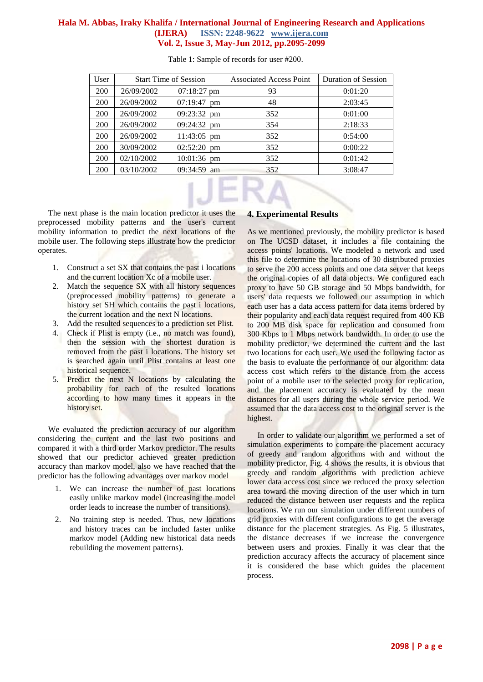| User       | <b>Start Time of Session</b> |                       | <b>Associated Access Point</b> | <b>Duration of Session</b> |
|------------|------------------------------|-----------------------|--------------------------------|----------------------------|
| 200        | 26/09/2002                   | $07:18:27 \text{ pm}$ | 93                             | 0:01:20                    |
| 200        | 26/09/2002                   | 07:19:47<br>pm        | 48                             | 2:03:45                    |
| 200        | 26/09/2002                   | $09:23:32 \text{ pm}$ | 352                            | 0:01:00                    |
| 200        | 26/09/2002                   | $09:24:32 \text{ pm}$ | 354                            | 2:18:33                    |
| 200        | 26/09/2002                   | 11:43:05 pm           | 352                            | 0:54:00                    |
| 200        | 30/09/2002                   | $02:52:20$ pm         | 352                            | 0:00:22                    |
| 200        | 02/10/2002                   | 10:01:36 pm           | 352                            | 0:01:42                    |
| <b>200</b> | 03/10/2002                   | $09:34:59$ am         | 352                            | 3:08:47                    |

Table 1: Sample of records for user #200.

 The next phase is the main location predictor it uses the preprocessed mobility patterns and the user's current mobility information to predict the next locations of the mobile user. The following steps illustrate how the predictor operates.

- 1. Construct a set SX that contains the past i locations and the current location Xc of a mobile user.
- 2. Match the sequence SX with all history sequences (preprocessed mobility patterns) to generate a history set SH which contains the past i locations, the current location and the next N locations.
- 3. Add the resulted sequences to a prediction set Plist.
- 4. Check if Plist is empty (i.e., no match was found), then the session with the shortest duration is removed from the past i locations. The history set is searched again until Plist contains at least one historical sequence.
- 5. Predict the next N locations by calculating the probability for each of the resulted locations according to how many times it appears in the history set.

 We evaluated the prediction accuracy of our algorithm considering the current and the last two positions and compared it with a third order Markov predictor. The results showed that our predictor achieved greater prediction accuracy than markov model, also we have reached that the predictor has the following advantages over markov model

- 1. We can increase the number of past locations easily unlike markov model (increasing the model order leads to increase the number of transitions).
- 2. No training step is needed. Thus, new locations and history traces can be included faster unlike markov model (Adding new historical data needs rebuilding the movement patterns).

# **4. Experimental Results**

As we mentioned previously, the mobility predictor is based on The UCSD dataset, it includes a file containing the access points' locations. We modeled a network and used this file to determine the locations of 30 distributed proxies to serve the 200 access points and one data server that keeps the original copies of all data objects. We configured each proxy to have 50 GB storage and 50 Mbps bandwidth, for users' data requests we followed our assumption in which each user has a data access pattern for data items ordered by their popularity and each data request required from 400 KB to 200 MB disk space for replication and consumed from 300 Kbps to 1 Mbps network bandwidth. In order to use the mobility predictor, we determined the current and the last two locations for each user. We used the following factor as the basis to evaluate the performance of our algorithm: data access cost which refers to the distance from the access point of a mobile user to the selected proxy for replication, and the placement accuracy is evaluated by the mean distances for all users during the whole service period. We assumed that the data access cost to the original server is the highest.

 In order to validate our algorithm we performed a set of simulation experiments to compare the placement accuracy of greedy and random algorithms with and without the mobility predictor, Fig. 4 shows the results, it is obvious that greedy and random algorithms with prediction achieve lower data access cost since we reduced the proxy selection area toward the moving direction of the user which in turn reduced the distance between user requests and the replica locations. We run our simulation under different numbers of grid proxies with different configurations to get the average distance for the placement strategies. As Fig. 5 illustrates, the distance decreases if we increase the convergence between users and proxies. Finally it was clear that the prediction accuracy affects the accuracy of placement since it is considered the base which guides the placement process.